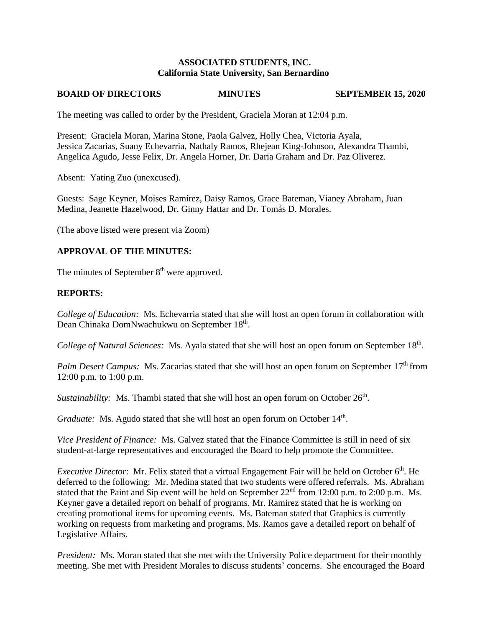### **ASSOCIATED STUDENTS, INC. California State University, San Bernardino**

#### **BOARD OF DIRECTORS MINUTES SEPTEMBER 15, 2020**

The meeting was called to order by the President, Graciela Moran at 12:04 p.m.

Present: Graciela Moran, Marina Stone, Paola Galvez, Holly Chea, Victoria Ayala, Jessica Zacarias, Suany Echevarria, Nathaly Ramos, Rhejean King-Johnson, Alexandra Thambi, Angelica Agudo, Jesse Felix, Dr. Angela Horner, Dr. Daria Graham and Dr. Paz Oliverez.

Absent: Yating Zuo (unexcused).

Guests: Sage Keyner, Moises Ramírez, Daisy Ramos, Grace Bateman, Vianey Abraham, Juan Medina, Jeanette Hazelwood, Dr. Ginny Hattar and Dr. Tomás D. Morales.

(The above listed were present via Zoom)

### **APPROVAL OF THE MINUTES:**

The minutes of September 8<sup>th</sup> were approved.

### **REPORTS:**

*College of Education:* Ms. Echevarria stated that she will host an open forum in collaboration with Dean Chinaka DomNwachukwu on September 18<sup>th</sup>.

College of Natural Sciences: Ms. Ayala stated that she will host an open forum on September 18<sup>th</sup>.

*Palm Desert Campus:* Ms. Zacarias stated that she will host an open forum on September 17<sup>th</sup> from 12:00 p.m. to 1:00 p.m.

*Sustainability*: Ms. Thambi stated that she will host an open forum on October 26<sup>th</sup>.

Graduate: Ms. Agudo stated that she will host an open forum on October 14<sup>th</sup>.

*Vice President of Finance:* Ms. Galvez stated that the Finance Committee is still in need of six student-at-large representatives and encouraged the Board to help promote the Committee.

*Executive Director*: Mr. Felix stated that a virtual Engagement Fair will be held on October 6<sup>th</sup>. He deferred to the following: Mr. Medina stated that two students were offered referrals. Ms. Abraham stated that the Paint and Sip event will be held on September 22<sup>nd</sup> from 12:00 p.m. to 2:00 p.m. Ms. Keyner gave a detailed report on behalf of programs. Mr. Ramirez stated that he is working on creating promotional items for upcoming events. Ms. Bateman stated that Graphics is currently working on requests from marketing and programs. Ms. Ramos gave a detailed report on behalf of Legislative Affairs.

*President:* Ms. Moran stated that she met with the University Police department for their monthly meeting. She met with President Morales to discuss students' concerns. She encouraged the Board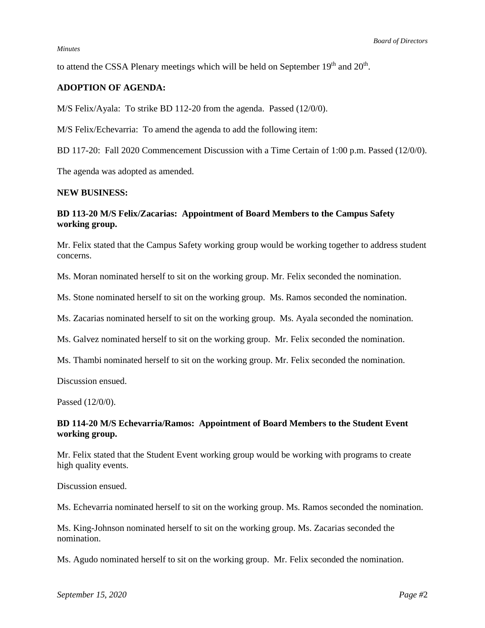#### *Minutes*

to attend the CSSA Plenary meetings which will be held on September  $19<sup>th</sup>$  and  $20<sup>th</sup>$ .

# **ADOPTION OF AGENDA:**

M/S Felix/Ayala: To strike BD 112-20 from the agenda. Passed (12/0/0).

M/S Felix/Echevarria: To amend the agenda to add the following item:

BD 117-20: Fall 2020 Commencement Discussion with a Time Certain of 1:00 p.m. Passed (12/0/0).

The agenda was adopted as amended.

#### **NEW BUSINESS:**

# **BD 113-20 M/S Felix/Zacarias: Appointment of Board Members to the Campus Safety working group.**

Mr. Felix stated that the Campus Safety working group would be working together to address student concerns.

Ms. Moran nominated herself to sit on the working group. Mr. Felix seconded the nomination.

Ms. Stone nominated herself to sit on the working group. Ms. Ramos seconded the nomination.

Ms. Zacarias nominated herself to sit on the working group. Ms. Ayala seconded the nomination.

Ms. Galvez nominated herself to sit on the working group. Mr. Felix seconded the nomination.

Ms. Thambi nominated herself to sit on the working group. Mr. Felix seconded the nomination.

Discussion ensued.

Passed (12/0/0).

### **BD 114-20 M/S Echevarria/Ramos: Appointment of Board Members to the Student Event working group.**

Mr. Felix stated that the Student Event working group would be working with programs to create high quality events.

Discussion ensued.

Ms. Echevarria nominated herself to sit on the working group. Ms. Ramos seconded the nomination.

Ms. King-Johnson nominated herself to sit on the working group. Ms. Zacarias seconded the nomination.

Ms. Agudo nominated herself to sit on the working group. Mr. Felix seconded the nomination.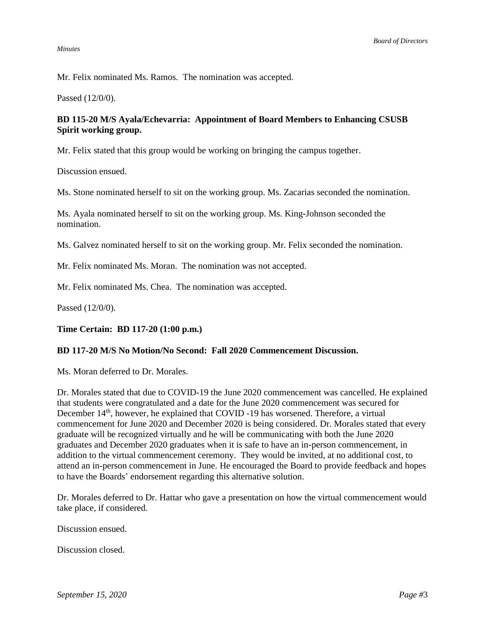#### *Minutes*

Mr. Felix nominated Ms. Ramos. The nomination was accepted.

Passed (12/0/0).

# **BD 115-20 M/S Ayala/Echevarria: Appointment of Board Members to Enhancing CSUSB Spirit working group.**

Mr. Felix stated that this group would be working on bringing the campus together.

Discussion ensued.

Ms. Stone nominated herself to sit on the working group. Ms. Zacarias seconded the nomination.

Ms. Ayala nominated herself to sit on the working group. Ms. King-Johnson seconded the nomination.

Ms. Galvez nominated herself to sit on the working group. Mr. Felix seconded the nomination.

Mr. Felix nominated Ms. Moran. The nomination was not accepted.

Mr. Felix nominated Ms. Chea. The nomination was accepted.

Passed (12/0/0).

**Time Certain: BD 117-20 (1:00 p.m.)**

# **BD 117-20 M/S No Motion/No Second: Fall 2020 Commencement Discussion.**

Ms. Moran deferred to Dr. Morales.

Dr. Morales stated that due to COVID-19 the June 2020 commencement was cancelled. He explained that students were congratulated and a date for the June 2020 commencement was secured for December 14<sup>th</sup>, however, he explained that COVID -19 has worsened. Therefore, a virtual commencement for June 2020 and December 2020 is being considered. Dr. Morales stated that every graduate will be recognized virtually and he will be communicating with both the June 2020 graduates and December 2020 graduates when it is safe to have an in-person commencement, in addition to the virtual commencement ceremony. They would be invited, at no additional cost, to attend an in-person commencement in June. He encouraged the Board to provide feedback and hopes to have the Boards' endorsement regarding this alternative solution.

Dr. Morales deferred to Dr. Hattar who gave a presentation on how the virtual commencement would take place, if considered.

Discussion ensued.

Discussion closed.